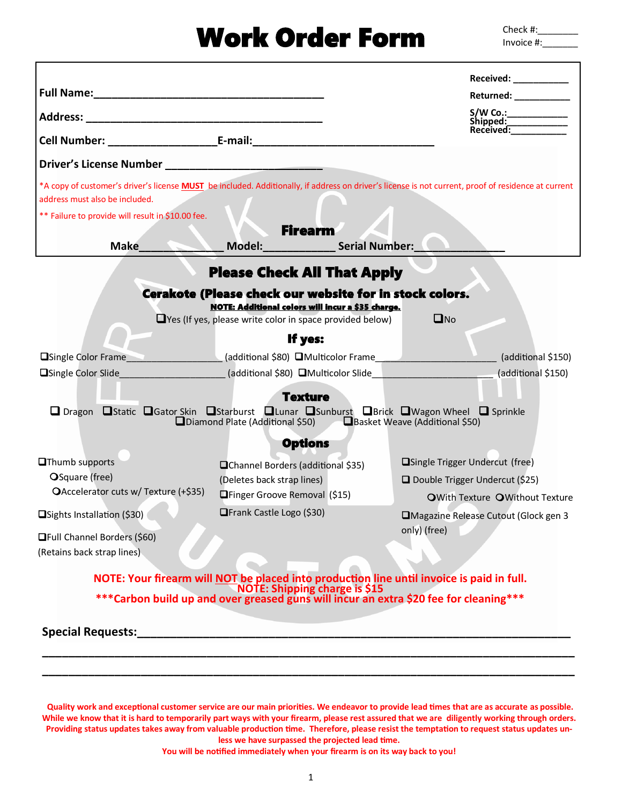# Work Order Form

Check #: Invoice #:\_\_\_\_\_\_\_

|                                                                                                                                                                     |                                                                                                                                                                                                                     | Received: ___________                                                                                                                                      |  |
|---------------------------------------------------------------------------------------------------------------------------------------------------------------------|---------------------------------------------------------------------------------------------------------------------------------------------------------------------------------------------------------------------|------------------------------------------------------------------------------------------------------------------------------------------------------------|--|
|                                                                                                                                                                     |                                                                                                                                                                                                                     | Returned: ___________                                                                                                                                      |  |
|                                                                                                                                                                     |                                                                                                                                                                                                                     | Shipped:<br>Received:                                                                                                                                      |  |
|                                                                                                                                                                     |                                                                                                                                                                                                                     |                                                                                                                                                            |  |
|                                                                                                                                                                     |                                                                                                                                                                                                                     |                                                                                                                                                            |  |
| address must also be included.                                                                                                                                      |                                                                                                                                                                                                                     | *A copy of customer's driver's license <b>MUST</b> be included. Additionally, if address on driver's license is not current, proof of residence at current |  |
| ** Failure to provide will result in \$10.00 fee.                                                                                                                   |                                                                                                                                                                                                                     |                                                                                                                                                            |  |
| <b>Make</b>                                                                                                                                                         | <b>Firearm</b><br>Model: Serial Number:                                                                                                                                                                             |                                                                                                                                                            |  |
| <b>Please Check All That Apply</b>                                                                                                                                  |                                                                                                                                                                                                                     |                                                                                                                                                            |  |
|                                                                                                                                                                     | Cerakote (Please check our website for in stock colors.                                                                                                                                                             |                                                                                                                                                            |  |
|                                                                                                                                                                     | <b>NOTE: Additional colors will incur a \$35 charge.</b><br>$\Box$ Yes (If yes, please write color in space provided below)                                                                                         | $\square$ No                                                                                                                                               |  |
|                                                                                                                                                                     | If yes:                                                                                                                                                                                                             |                                                                                                                                                            |  |
|                                                                                                                                                                     |                                                                                                                                                                                                                     | □Single Color Frame (additional \$80) ■Multicolor Frame                                                                                                    |  |
|                                                                                                                                                                     |                                                                                                                                                                                                                     | □Single Color Slide<br>(additional \$150)  (additional \$150)  (additional \$150)  (additional \$150)                                                      |  |
|                                                                                                                                                                     | <b>Texture</b>                                                                                                                                                                                                      |                                                                                                                                                            |  |
| □ Dragon □ Static □ Gator Skin □ Starburst □ Lunar □ Sunburst □ Brick □ Wagon Wheel □ Sprinkle<br>Diamond Plate (Additional \$50)<br>Basket Weave (Additional \$50) |                                                                                                                                                                                                                     |                                                                                                                                                            |  |
|                                                                                                                                                                     | <b>Options</b>                                                                                                                                                                                                      |                                                                                                                                                            |  |
| <b>O</b> Thumb supports                                                                                                                                             | <b>QChannel Borders (additional \$35)</b>                                                                                                                                                                           | □Single Trigger Undercut (free)                                                                                                                            |  |
| OSquare (free)                                                                                                                                                      | (Deletes back strap lines)                                                                                                                                                                                          | Double Trigger Undercut (\$25)                                                                                                                             |  |
| OAccelerator cuts w/ Texture (+\$35)                                                                                                                                | <b>O</b> Finger Groove Removal (\$15)                                                                                                                                                                               | OWith Texture OWithout Texture                                                                                                                             |  |
| □Sights Installation (\$30)                                                                                                                                         | <b>■Frank Castle Logo (\$30)</b>                                                                                                                                                                                    | Magazine Release Cutout (Glock gen 3                                                                                                                       |  |
| <b>OFull Channel Borders (\$60)</b>                                                                                                                                 |                                                                                                                                                                                                                     | only) (free)                                                                                                                                               |  |
| (Retains back strap lines)                                                                                                                                          |                                                                                                                                                                                                                     |                                                                                                                                                            |  |
|                                                                                                                                                                     |                                                                                                                                                                                                                     |                                                                                                                                                            |  |
|                                                                                                                                                                     | NOTE: Your firearm will NOT be placed into production line until invoice is paid in full.<br>NOTE: Shipping charge is \$15<br>***Carbon build up and over greased guns will incur an extra \$20 fee for cleaning*** |                                                                                                                                                            |  |
|                                                                                                                                                                     |                                                                                                                                                                                                                     |                                                                                                                                                            |  |
|                                                                                                                                                                     |                                                                                                                                                                                                                     |                                                                                                                                                            |  |
|                                                                                                                                                                     |                                                                                                                                                                                                                     |                                                                                                                                                            |  |

**Quality work and exceptional customer service are our main priorities. We endeavor to provide lead times that are as accurate as possible. While we know that it is hard to temporarily part ways with your firearm, please rest assured that we are diligently working through orders. Providing status updates takes away from valuable production time. Therefore, please resist the temptation to request status updates unless we have surpassed the projected lead time.** 

**You will be notified immediately when your firearm is on its way back to you!**